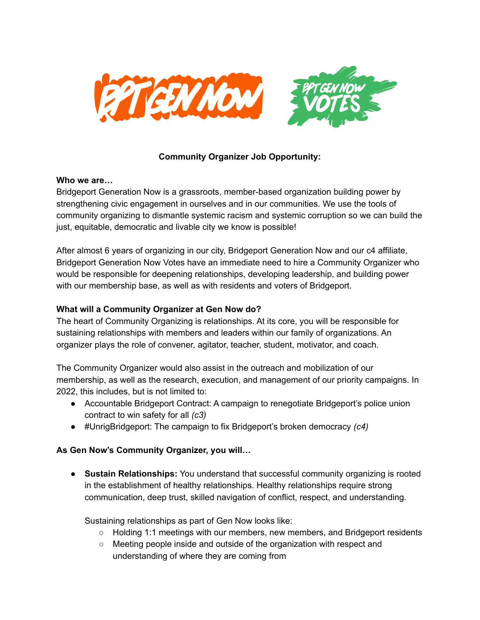

## **Community Organizer Job Opportunity:**

#### **Who we are…**

Bridgeport Generation Now is a grassroots, member-based organization building power by strengthening civic engagement in ourselves and in our communities. We use the tools of community organizing to dismantle systemic racism and systemic corruption so we can build the just, equitable, democratic and livable city we know is possible!

After almost 6 years of organizing in our city, Bridgeport Generation Now and our c4 affiliate, Bridgeport Generation Now Votes have an immediate need to hire a Community Organizer who would be responsible for deepening relationships, developing leadership, and building power with our membership base, as well as with residents and voters of Bridgeport.

## **What will a Community Organizer at Gen Now do?**

The heart of Community Organizing is relationships. At its core, you will be responsible for sustaining relationships with members and leaders within our family of organizations. An organizer plays the role of convener, agitator, teacher, student, motivator, and coach.

The Community Organizer would also assist in the outreach and mobilization of our membership, as well as the research, execution, and management of our priority campaigns. In 2022, this includes, but is not limited to:

- Accountable Bridgeport Contract: A campaign to renegotiate Bridgeport's police union contract to win safety for all *(c3)*
- #UnrigBridgeport: The campaign to fix Bridgeport's broken democracy *(c4)*

## **As Gen Now's Community Organizer, you will…**

**● Sustain Relationships:** You understand that successful community organizing is rooted in the establishment of healthy relationships. Healthy relationships require strong communication, deep trust, skilled navigation of conflict, respect, and understanding.

Sustaining relationships as part of Gen Now looks like:

- Holding 1:1 meetings with our members, new members, and Bridgeport residents
- Meeting people inside and outside of the organization with respect and understanding of where they are coming from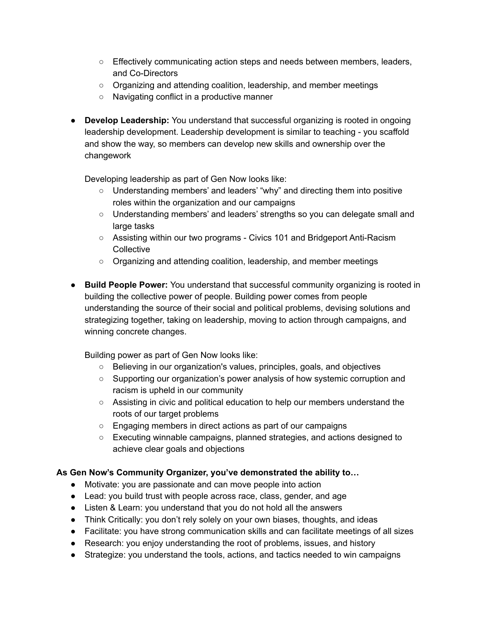- Effectively communicating action steps and needs between members, leaders, and Co-Directors
- Organizing and attending coalition, leadership, and member meetings
- Navigating conflict in a productive manner
- **● Develop Leadership:** You understand that successful organizing is rooted in ongoing leadership development. Leadership development is similar to teaching - you scaffold and show the way, so members can develop new skills and ownership over the changework

Developing leadership as part of Gen Now looks like:

- Understanding members' and leaders' "why" and directing them into positive roles within the organization and our campaigns
- Understanding members' and leaders' strengths so you can delegate small and large tasks
- Assisting within our two programs Civics 101 and Bridgeport Anti-Racism Collective
- Organizing and attending coalition, leadership, and member meetings
- **● Build People Power:** You understand that successful community organizing is rooted in building the collective power of people. Building power comes from people understanding the source of their social and political problems, devising solutions and strategizing together, taking on leadership, moving to action through campaigns, and winning concrete changes.

Building power as part of Gen Now looks like:

- Believing in our organization's values, principles, goals, and objectives
- Supporting our organization's power analysis of how systemic corruption and racism is upheld in our community
- Assisting in civic and political education to help our members understand the roots of our target problems
- Engaging members in direct actions as part of our campaigns
- Executing winnable campaigns, planned strategies, and actions designed to achieve clear goals and objections

# **As Gen Now's Community Organizer, you've demonstrated the ability to…**

- Motivate: you are passionate and can move people into action
- Lead: you build trust with people across race, class, gender, and age
- Listen & Learn: you understand that you do not hold all the answers
- Think Critically: you don't rely solely on your own biases, thoughts, and ideas
- Facilitate: you have strong communication skills and can facilitate meetings of all sizes
- Research: you enjoy understanding the root of problems, issues, and history
- Strategize: you understand the tools, actions, and tactics needed to win campaigns